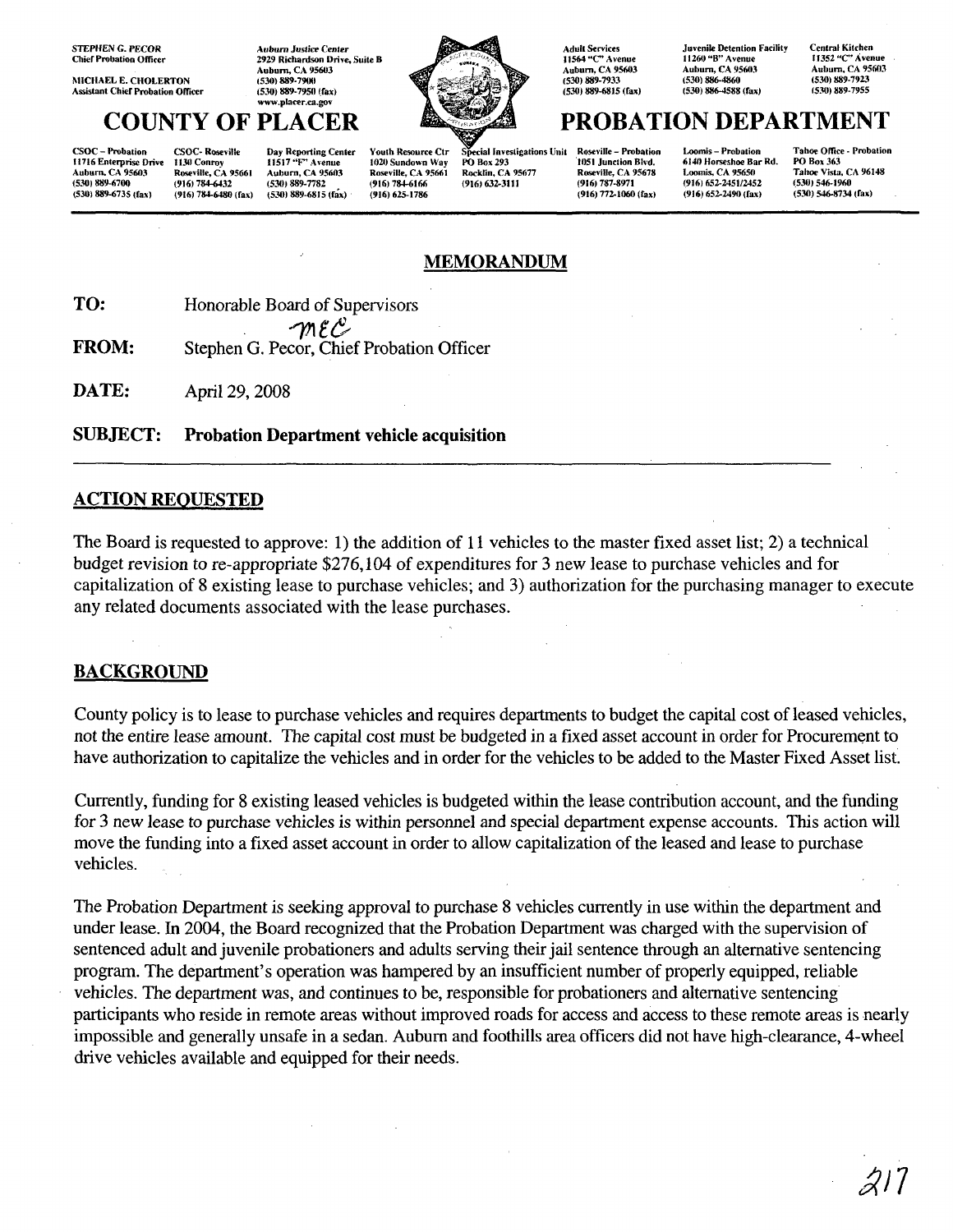STEPHEN G. PECOR **Chief Probation Officer** 

MICHAEL E. CHOLERTON **Assistant Chief Probation Officer** 

**Auburn Justire Center** 2929 Richardson Drive, Suite B Auburn, CA 95603 (530) 889·79lK1 (530) 889-7950 (fax) **www.placer.ca.gov**

(530) 889-6735 (fax) (916) 784-6480 (fax) (530) 889-6815 (fax) (916) 625-1786 (916) 9160 (916) 772-1060 (fax) (916) 652-2490 (fax) (530) 546-8734 (fax)



CSOC – Probation CSOC- Roseville Day Reporting Center Youth Resource Ctr Special Investigations Unit Roseville – Probation Loomis – Probation Taboe Office - Probation<br>11716 Enterprise Drive 1130 Conroy 11517 "F" Avenue 102 CSOC – Probation CSOC Roseville Day Reporting Center Youth Resource Ctr Special Investigations Unit Roseville – Probation Loomis – Probation Taboe Office - Probation<br>Auburn, CA 95661 Roseville, CA 95661 Roseville, CA 95661 (5301 889-6700 (916) 784-6432 (530) 889-7782 (916) 784-6166 (916) 632-3111 (916) 787-8971 (916) 652-2451/2452 (534)) 546-1960

**Adult Services 11564 uC" Avenue** Auburn, CA 95603 (530) 889·7933 (530) 889-6815 (fax) **Juvenile Detention Facility** 1**t260 uR" Avenue** Auburn, CA 95603 (530) 886-4860 (530) 886-4588 (fax)

Centra' Kitchen **11352 "C'. Avenue** Auburn, CA 95603 (530) 889-7923 (530) 889·7955

# **COUNTY OF PLACER PROBATION DEPARTMENT**

## **MEMORANDUM**

**TO:** Honorable Board of Supervisors  $\gamma_1$ r $\mathcal{C}$ 

**FROM:** Stephen G. Pecor, Chief Probation Officer

**DATE:** April 29, 2008

**SUBJECT: Probation Department vehicle acquisition**

#### **ACTION REQUESTED**

The Board is requested to approve: 1) the addition of **11** vehicles to the master fixed asset list; 2) a technical budget revision to re-appropriate \$276,104 of expenditures for 3 new lease to purchase vehicles and for capitalization of 8 existing lease to purchase vehicles; and 3) authorization for the purchasing manager to execute any related documents associated with the lease purchases.

### **BACKGROUND**

County policy is to lease to purchase vehicles and requires departments to budget the capital cost of leased vehicles, not the entire lease amount. The capital cost must be budgeted in a fixed asset account in order for Procurement to have authorization to capitalize the vehicles and in order for the vehicles to be added to the Master Fixed Asset list.

Currently, funding for 8 existing leased vehicles is budgeted within the lease contribution account, and the funding for 3 new lease to purchase vehicles is within personnel and special department expense accounts. This action will move the funding into a fixed asset account in order to allow capitalization of the leased and lease to purchase vehicles.

The Probation Department is seeking approval to purchase 8 vehicles currently in use within the department and under lease. In 2004, the Board recognized that the Probation Department was charged with the supervision of sentenced adult and juvenile probationers and adults serving their jail sentence through an alternative sentencing program. The department's operation was hampered by an insufficient number of properly equipped, reliable vehicles. The department was, and continues to be, responsible for probationers and alternative sentencing participants who reside in remote areas without improved roads for access and access to these remote areas is nearly impossible and generally unsafe in a sedan. Auburn and foothills area officers did not have high-clearance, 4-wheel drive vehicles available and equipped for their needs.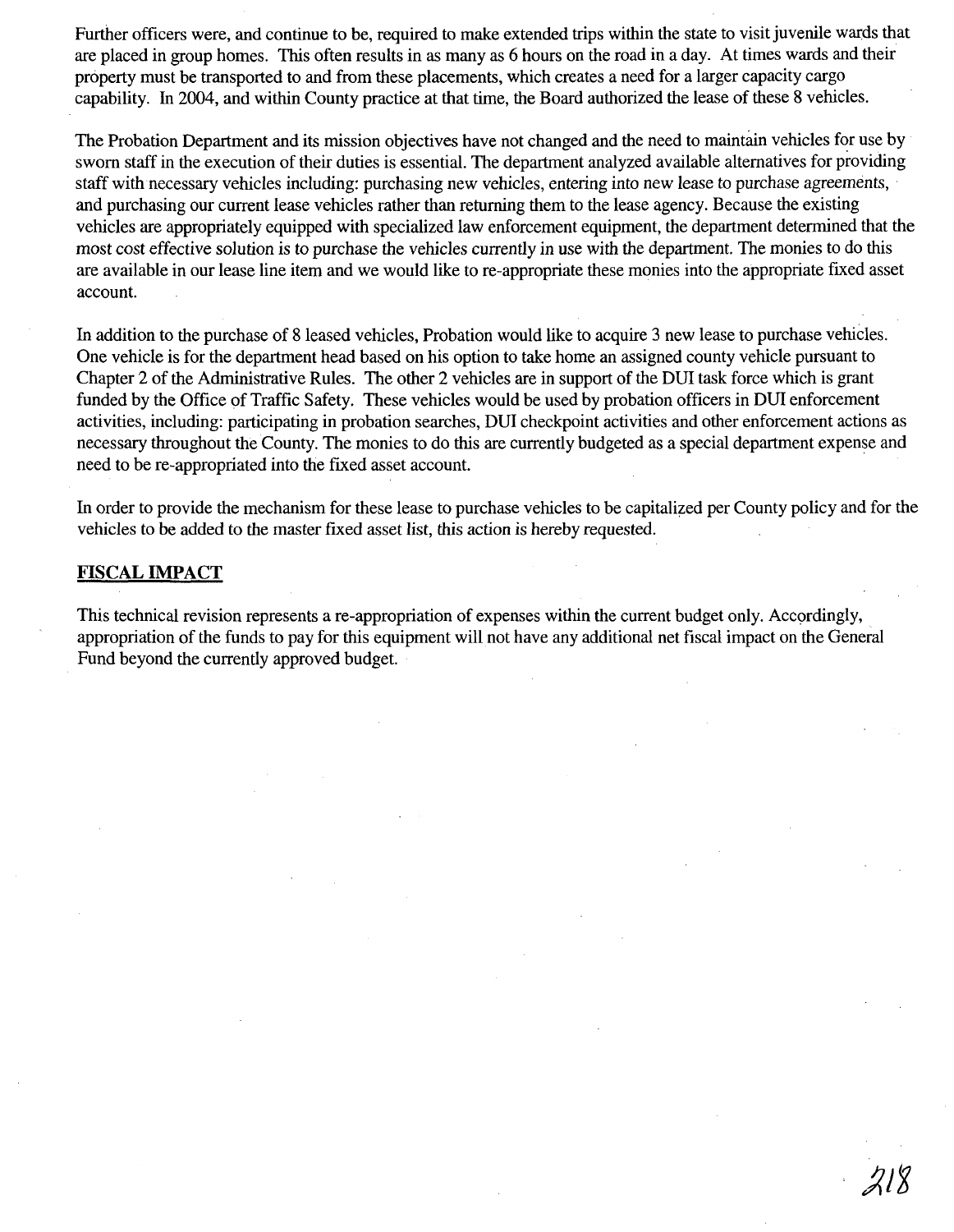Further officers were, and continue to be, required to make extended trips within the state to visit juvenile wards that are placed in group homes. This often results in as many as 6 hours on the road in a day. At times wards and their property must be transported to and from these placements, which creates a need for a larger capacity cargo capability. In 2004, and within County practice at that time, the Board authorized the lease of these 8 vehicles.

The Probation Department and its mission objectives have not changed and the need to maintain vehicles for use by sworn staff in the execution of their duties is essential. The department analyzed available alternatives for providing staff with necessary vehicles including: purchasing new vehicles, entering into new lease to purchase agreements, and purchasing our current lease vehicles rather than returning them to the lease agency. Because the existing vehicles are appropriately equipped with specialized law enforcement equipment, the department determined that the most cost effective solution is to purchase the vehicles currently in use with the department. The monies to do this are available in our lease line item and we would like to re-appropriate these monies into the appropriate fixed asset account.

In addition to the purchase of 8 leased vehicles, Probation would like to acquire 3 new lease to purchase vehicles. One vehicle is for the department head based on his option to take home an assigned county vehicle pursuant to Chapter 2 of the Administrative Rules. The other 2 vehicles are in support of the DUI task force which is grant funded by the Office of Traffic Safety. These vehicles would be used by probation officers in DUI enforcement activities, including: participating in probation searches, DUI checkpoint activities and other enforcement actions as necessary throughout theCounty. The monies to do this are currently budgeted as a special department expense and need to be re-appropriated into the fixed asset account.

In order to provide the mechanism for these lease to purchase vehicles to be capitalized per County policy and for the vehicles to be added to the master fixed asset list, this action is hereby requested.

#### **FISCAL IMPACT**

This technical revision represents a re-appropriation of expenses within the current budget only. Accordingly, appropriation of the funds to pay for this equipment will not have any additional net fiscal impact on the General Fund beyond the currently approved budget.